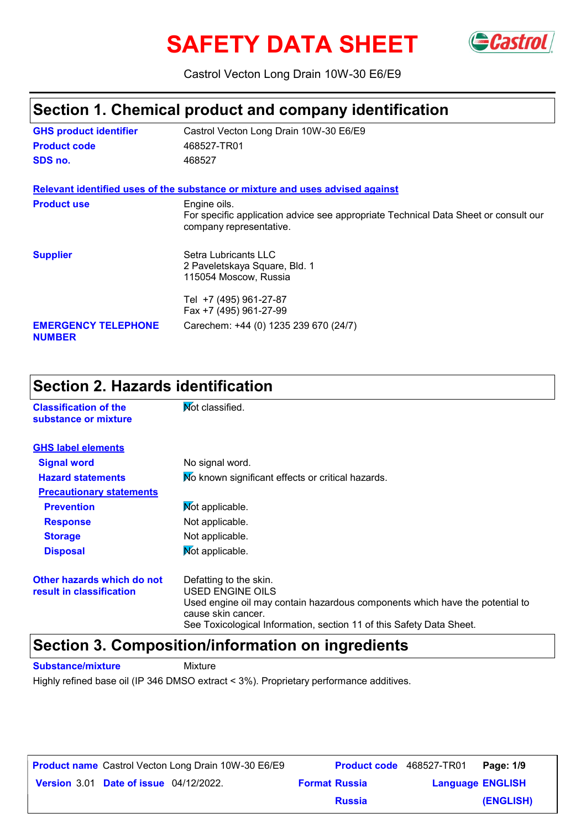# **SAFETY DATA SHEET** GCastrol



Castrol Vecton Long Drain 10W-30 E6/E9

### **Section 1. Chemical product and company identification**

| <b>GHS product identifier</b>               | Castrol Vecton Long Drain 10W-30 E6/E9                                                                                         |
|---------------------------------------------|--------------------------------------------------------------------------------------------------------------------------------|
| <b>Product code</b>                         | 468527-TR01                                                                                                                    |
| SDS no.                                     | 468527                                                                                                                         |
|                                             | Relevant identified uses of the substance or mixture and uses advised against                                                  |
| <b>Product use</b>                          | Engine oils.<br>For specific application advice see appropriate Technical Data Sheet or consult our<br>company representative. |
| <b>Supplier</b>                             | Setra Lubricants LLC<br>2 Paveletskaya Square, Bld. 1<br>115054 Moscow, Russia                                                 |
|                                             | Tel +7 (495) 961-27-87<br>Fax +7 (495) 961-27-99                                                                               |
| <b>EMERGENCY TELEPHONE</b><br><b>NUMBER</b> | Carechem: +44 (0) 1235 239 670 (24/7)                                                                                          |

### **Section 2. Hazards identification**

| <b>Classification of the</b><br>substance or mixture   | Not classified.                                                                                                                                                                                                          |
|--------------------------------------------------------|--------------------------------------------------------------------------------------------------------------------------------------------------------------------------------------------------------------------------|
| <b>GHS label elements</b>                              |                                                                                                                                                                                                                          |
| <b>Signal word</b>                                     | No signal word.                                                                                                                                                                                                          |
| <b>Hazard statements</b>                               | No known significant effects or critical hazards.                                                                                                                                                                        |
| <b>Precautionary statements</b>                        |                                                                                                                                                                                                                          |
| <b>Prevention</b>                                      | Mot applicable.                                                                                                                                                                                                          |
| <b>Response</b>                                        | Not applicable.                                                                                                                                                                                                          |
| <b>Storage</b>                                         | Not applicable.                                                                                                                                                                                                          |
| <b>Disposal</b>                                        | Mot applicable.                                                                                                                                                                                                          |
| Other hazards which do not<br>result in classification | Defatting to the skin.<br>USED ENGINE OILS<br>Used engine oil may contain hazardous components which have the potential to<br>cause skin cancer.<br>See Toxicological Information, section 11 of this Safety Data Sheet. |

#### **Section 3. Composition/information on ingredients**

**Substance/mixture Mixture** 

Highly refined base oil (IP 346 DMSO extract < 3%). Proprietary performance additives.

| <b>Product name</b> Castrol Vecton Long Drain 10W-30 E6/E9 | <b>Product code</b> 468527-TR01 |                         | Page: 1/9 |
|------------------------------------------------------------|---------------------------------|-------------------------|-----------|
| <b>Version 3.01 Date of issue 04/12/2022.</b>              | <b>Format Russia</b>            | <b>Language ENGLISH</b> |           |
|                                                            | <b>Russia</b>                   |                         | (ENGLISH) |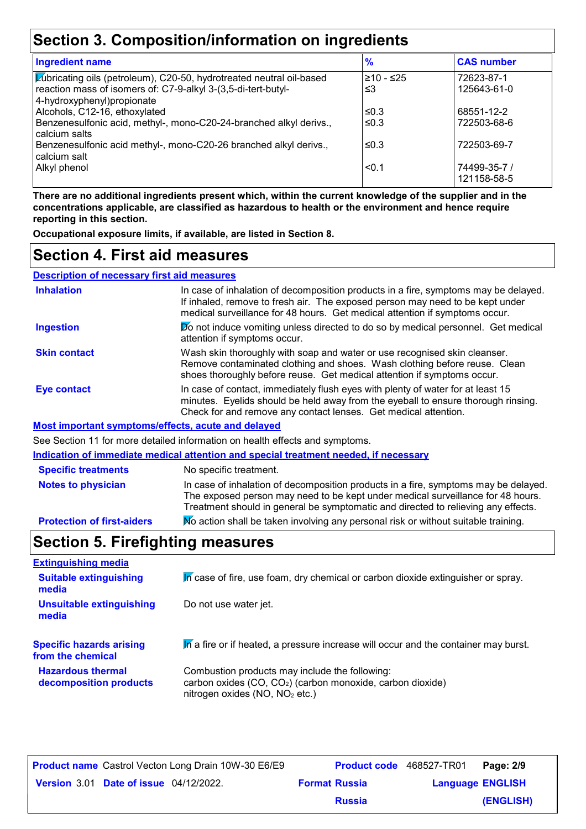### **Section 3. Composition/information on ingredients**

| <b>Ingredient name</b>                                                              | $\frac{9}{6}$ | <b>CAS number</b>           |
|-------------------------------------------------------------------------------------|---------------|-----------------------------|
| Lubricating oils (petroleum), C20-50, hydrotreated neutral oil-based                | ≥10 - ≤25     | 72623-87-1                  |
| reaction mass of isomers of: C7-9-alkyl 3-(3,5-di-tert-butyl-                       | ≤3            | 125643-61-0                 |
| 4-hydroxyphenyl)propionate                                                          |               |                             |
| Alcohols, C12-16, ethoxylated                                                       | ≤0.3          | 68551-12-2                  |
| Benzenesulfonic acid, methyl-, mono-C20-24-branched alkyl derivs.,<br>calcium salts | ≤ $0.3$       | 722503-68-6                 |
| Benzenesulfonic acid methyl-, mono-C20-26 branched alkyl derivs.,<br>calcium salt   | ≤0.3          | 722503-69-7                 |
| Alkyl phenol                                                                        | < 0.1         | 74499-35-7 /<br>121158-58-5 |

**There are no additional ingredients present which, within the current knowledge of the supplier and in the concentrations applicable, are classified as hazardous to health or the environment and hence require reporting in this section.**

**Occupational exposure limits, if available, are listed in Section 8.**

#### **Section 4. First aid measures**

**Description of necessary first aid measures**

| <b>Inhalation</b>                                  | In case of inhalation of decomposition products in a fire, symptoms may be delayed.<br>If inhaled, remove to fresh air. The exposed person may need to be kept under<br>medical surveillance for 48 hours. Get medical attention if symptoms occur. |
|----------------------------------------------------|-----------------------------------------------------------------------------------------------------------------------------------------------------------------------------------------------------------------------------------------------------|
| <b>Ingestion</b>                                   | Do not induce vomiting unless directed to do so by medical personnel. Get medical<br>attention if symptoms occur.                                                                                                                                   |
| <b>Skin contact</b>                                | Wash skin thoroughly with soap and water or use recognised skin cleanser.<br>Remove contaminated clothing and shoes. Wash clothing before reuse. Clean<br>shoes thoroughly before reuse. Get medical attention if symptoms occur.                   |
| Eye contact                                        | In case of contact, immediately flush eyes with plenty of water for at least 15<br>minutes. Eyelids should be held away from the eyeball to ensure thorough rinsing.<br>Check for and remove any contact lenses. Get medical attention.             |
| Most important symptoms/effects, acute and delayed |                                                                                                                                                                                                                                                     |

See Section 11 for more detailed information on health effects and symptoms.

**Indication of immediate medical attention and special treatment needed, if necessary**

| <b>Specific treatments</b>        | No specific treatment.                                                                                                                                                                                                                                      |
|-----------------------------------|-------------------------------------------------------------------------------------------------------------------------------------------------------------------------------------------------------------------------------------------------------------|
| <b>Notes to physician</b>         | In case of inhalation of decomposition products in a fire, symptoms may be delayed.<br>The exposed person may need to be kept under medical surveillance for 48 hours.<br>Treatment should in general be symptomatic and directed to relieving any effects. |
| <b>Protection of first-aiders</b> | No action shall be taken involving any personal risk or without suitable training.                                                                                                                                                                          |

### **Section 5. Firefighting measures**

| <b>Extinguishing media</b>               |                                                                                     |
|------------------------------------------|-------------------------------------------------------------------------------------|
| <b>Suitable extinguishing</b><br>media   | In case of fire, use foam, dry chemical or carbon dioxide extinguisher or spray.    |
| <b>Unsuitable extinguishing</b><br>media | Do not use water jet.                                                               |
| <b>Specific hazards arising</b>          | In a fire or if heated, a pressure increase will occur and the container may burst. |
| from the chemical                        |                                                                                     |

|                                               | <b>Product name</b> Castrol Vecton Long Drain 10W-30 E6/E9 | <b>Product code</b> 468527-TR01 |                         | Page: 2/9 |
|-----------------------------------------------|------------------------------------------------------------|---------------------------------|-------------------------|-----------|
| <b>Version 3.01 Date of issue 04/12/2022.</b> |                                                            | <b>Format Russia</b>            | <b>Language ENGLISH</b> |           |
|                                               |                                                            | <b>Russia</b>                   |                         | (ENGLISH) |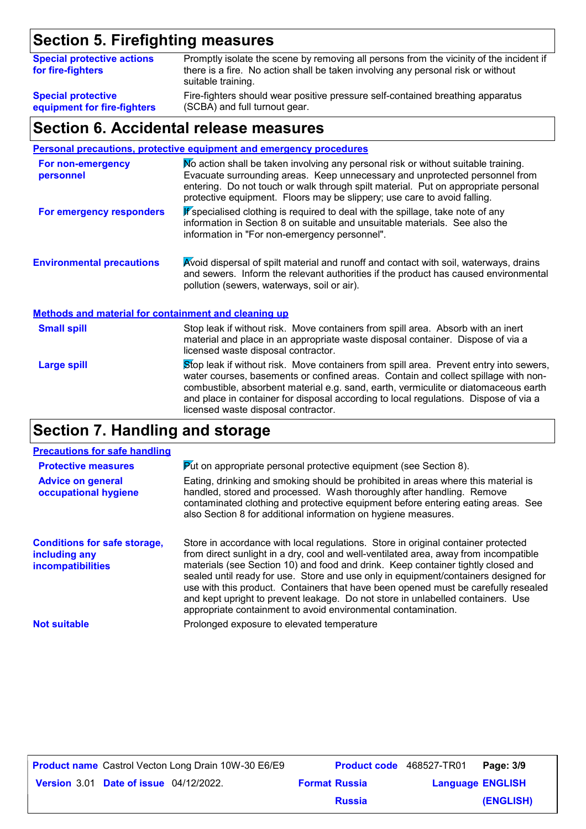# **Section 5. Firefighting measures**

| <b>Special protective actions</b><br>for fire-fighters | Promptly isolate the scene by removing all persons from the vicinity of the incident if<br>there is a fire. No action shall be taken involving any personal risk or without<br>suitable training. |
|--------------------------------------------------------|---------------------------------------------------------------------------------------------------------------------------------------------------------------------------------------------------|
| <b>Special protective</b>                              | Fire-fighters should wear positive pressure self-contained breathing apparatus                                                                                                                    |
| equipment for fire-fighters                            | (SCBA) and full turnout gear.                                                                                                                                                                     |

### **Section 6. Accidental release measures**

|                                                             | <b>Personal precautions, protective equipment and emergency procedures</b>                                                                                                                                                                                                                                                                                                                         |
|-------------------------------------------------------------|----------------------------------------------------------------------------------------------------------------------------------------------------------------------------------------------------------------------------------------------------------------------------------------------------------------------------------------------------------------------------------------------------|
| For non-emergency<br>personnel                              | No action shall be taken involving any personal risk or without suitable training.<br>Evacuate surrounding areas. Keep unnecessary and unprotected personnel from<br>entering. Do not touch or walk through spilt material. Put on appropriate personal<br>protective equipment. Floors may be slippery; use care to avoid falling.                                                                |
| For emergency responders                                    | If specialised clothing is required to deal with the spillage, take note of any<br>information in Section 8 on suitable and unsuitable materials. See also the<br>information in "For non-emergency personnel".                                                                                                                                                                                    |
| <b>Environmental precautions</b>                            | Avoid dispersal of spilt material and runoff and contact with soil, waterways, drains<br>and sewers. Inform the relevant authorities if the product has caused environmental<br>pollution (sewers, waterways, soil or air).                                                                                                                                                                        |
| <b>Methods and material for containment and cleaning up</b> |                                                                                                                                                                                                                                                                                                                                                                                                    |
| <b>Small spill</b>                                          | Stop leak if without risk. Move containers from spill area. Absorb with an inert<br>material and place in an appropriate waste disposal container. Dispose of via a<br>licensed waste disposal contractor.                                                                                                                                                                                         |
| <b>Large spill</b>                                          | Stop leak if without risk. Move containers from spill area. Prevent entry into sewers,<br>water courses, basements or confined areas. Contain and collect spillage with non-<br>combustible, absorbent material e.g. sand, earth, vermiculite or diatomaceous earth<br>and place in container for disposal according to local regulations. Dispose of via a<br>licensed waste disposal contractor. |

### **Section 7. Handling and storage**

| <b>Precautions for safe handling</b>                                      |                                                                                                                                                                                                                                                                                                                                                                                                                                                                                                                                                                                                |
|---------------------------------------------------------------------------|------------------------------------------------------------------------------------------------------------------------------------------------------------------------------------------------------------------------------------------------------------------------------------------------------------------------------------------------------------------------------------------------------------------------------------------------------------------------------------------------------------------------------------------------------------------------------------------------|
| <b>Protective measures</b>                                                | Put on appropriate personal protective equipment (see Section 8).                                                                                                                                                                                                                                                                                                                                                                                                                                                                                                                              |
| <b>Advice on general</b><br>occupational hygiene                          | Eating, drinking and smoking should be prohibited in areas where this material is<br>handled, stored and processed. Wash thoroughly after handling. Remove<br>contaminated clothing and protective equipment before entering eating areas. See<br>also Section 8 for additional information on hygiene measures.                                                                                                                                                                                                                                                                               |
| <b>Conditions for safe storage,</b><br>including any<br>incompatibilities | Store in accordance with local regulations. Store in original container protected<br>from direct sunlight in a dry, cool and well-ventilated area, away from incompatible<br>materials (see Section 10) and food and drink. Keep container tightly closed and<br>sealed until ready for use. Store and use only in equipment/containers designed for<br>use with this product. Containers that have been opened must be carefully resealed<br>and kept upright to prevent leakage. Do not store in unlabelled containers. Use<br>appropriate containment to avoid environmental contamination. |
| <b>Not suitable</b>                                                       | Prolonged exposure to elevated temperature                                                                                                                                                                                                                                                                                                                                                                                                                                                                                                                                                     |

| <b>Product name</b> Castrol Vecton Long Drain 10W-30 E6/E9 |                      | <b>Product code</b> 468527-TR01 <b>Page: 3/9</b> |           |
|------------------------------------------------------------|----------------------|--------------------------------------------------|-----------|
| <b>Version 3.01 Date of issue 04/12/2022.</b>              | <b>Format Russia</b> | <b>Language ENGLISH</b>                          |           |
|                                                            | <b>Russia</b>        |                                                  | (ENGLISH) |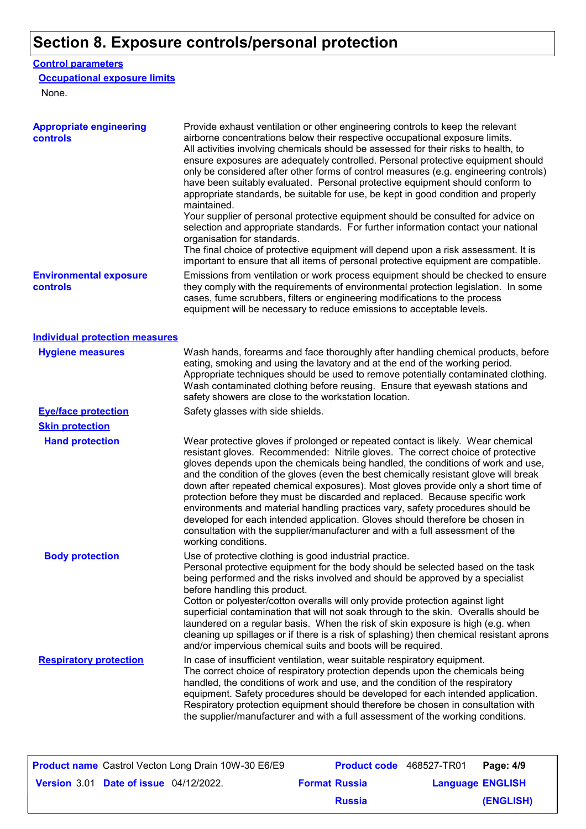### **Section 8. Exposure controls/personal protection**

#### **Control parameters**

#### **Occupational exposure limits**

None.

| <b>Appropriate engineering</b><br><b>controls</b> | Provide exhaust ventilation or other engineering controls to keep the relevant<br>airborne concentrations below their respective occupational exposure limits.<br>All activities involving chemicals should be assessed for their risks to health, to<br>ensure exposures are adequately controlled. Personal protective equipment should<br>only be considered after other forms of control measures (e.g. engineering controls)<br>have been suitably evaluated. Personal protective equipment should conform to<br>appropriate standards, be suitable for use, be kept in good condition and properly<br>maintained.<br>Your supplier of personal protective equipment should be consulted for advice on<br>selection and appropriate standards. For further information contact your national<br>organisation for standards.<br>The final choice of protective equipment will depend upon a risk assessment. It is<br>important to ensure that all items of personal protective equipment are compatible. |
|---------------------------------------------------|---------------------------------------------------------------------------------------------------------------------------------------------------------------------------------------------------------------------------------------------------------------------------------------------------------------------------------------------------------------------------------------------------------------------------------------------------------------------------------------------------------------------------------------------------------------------------------------------------------------------------------------------------------------------------------------------------------------------------------------------------------------------------------------------------------------------------------------------------------------------------------------------------------------------------------------------------------------------------------------------------------------|
| <b>Environmental exposure</b><br>controls         | Emissions from ventilation or work process equipment should be checked to ensure<br>they comply with the requirements of environmental protection legislation. In some<br>cases, fume scrubbers, filters or engineering modifications to the process<br>equipment will be necessary to reduce emissions to acceptable levels.                                                                                                                                                                                                                                                                                                                                                                                                                                                                                                                                                                                                                                                                                 |
| <b>Individual protection measures</b>             |                                                                                                                                                                                                                                                                                                                                                                                                                                                                                                                                                                                                                                                                                                                                                                                                                                                                                                                                                                                                               |
| <b>Hygiene measures</b>                           | Wash hands, forearms and face thoroughly after handling chemical products, before<br>eating, smoking and using the lavatory and at the end of the working period.<br>Appropriate techniques should be used to remove potentially contaminated clothing.<br>Wash contaminated clothing before reusing. Ensure that eyewash stations and<br>safety showers are close to the workstation location.                                                                                                                                                                                                                                                                                                                                                                                                                                                                                                                                                                                                               |
| <b>Eye/face protection</b>                        | Safety glasses with side shields.                                                                                                                                                                                                                                                                                                                                                                                                                                                                                                                                                                                                                                                                                                                                                                                                                                                                                                                                                                             |
| <b>Skin protection</b>                            |                                                                                                                                                                                                                                                                                                                                                                                                                                                                                                                                                                                                                                                                                                                                                                                                                                                                                                                                                                                                               |
| <b>Hand protection</b>                            | Wear protective gloves if prolonged or repeated contact is likely. Wear chemical<br>resistant gloves. Recommended: Nitrile gloves. The correct choice of protective<br>gloves depends upon the chemicals being handled, the conditions of work and use,<br>and the condition of the gloves (even the best chemically resistant glove will break<br>down after repeated chemical exposures). Most gloves provide only a short time of<br>protection before they must be discarded and replaced. Because specific work<br>environments and material handling practices vary, safety procedures should be<br>developed for each intended application. Gloves should therefore be chosen in<br>consultation with the supplier/manufacturer and with a full assessment of the<br>working conditions.                                                                                                                                                                                                               |
| <b>Body protection</b>                            | Use of protective clothing is good industrial practice<br>Personal protective equipment for the body should be selected based on the task<br>being performed and the risks involved and should be approved by a specialist<br>before handling this product.<br>Cotton or polyester/cotton overalls will only provide protection against light<br>superficial contamination that will not soak through to the skin. Overalls should be<br>laundered on a regular basis. When the risk of skin exposure is high (e.g. when<br>cleaning up spillages or if there is a risk of splashing) then chemical resistant aprons<br>and/or impervious chemical suits and boots will be required.                                                                                                                                                                                                                                                                                                                          |
| <b>Respiratory protection</b>                     | In case of insufficient ventilation, wear suitable respiratory equipment.<br>The correct choice of respiratory protection depends upon the chemicals being<br>handled, the conditions of work and use, and the condition of the respiratory<br>equipment. Safety procedures should be developed for each intended application.<br>Respiratory protection equipment should therefore be chosen in consultation with<br>the supplier/manufacturer and with a full assessment of the working conditions.                                                                                                                                                                                                                                                                                                                                                                                                                                                                                                         |

| <b>Product name</b> Castrol Vecton Long Drain 10W-30 E6/E9 |                      | <b>Product code</b> 468527-TR01 | Page: 4/9 |
|------------------------------------------------------------|----------------------|---------------------------------|-----------|
| <b>Version 3.01 Date of issue 04/12/2022.</b>              | <b>Format Russia</b> | <b>Language ENGLISH</b>         |           |
|                                                            | <b>Russia</b>        |                                 | (ENGLISH) |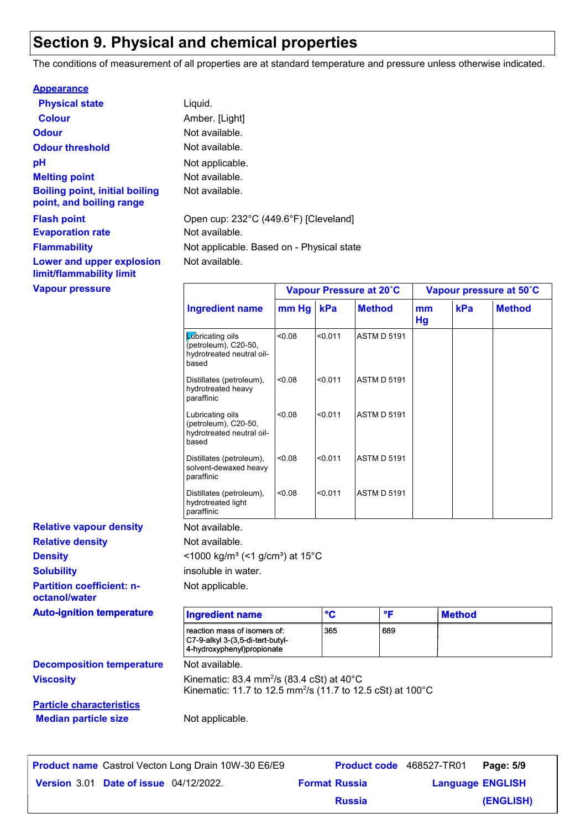#### **Section 9. Physical and chemical properties**

The conditions of measurement of all properties are at standard temperature and pressure unless otherwise indicated.

| <b>Appearance</b>                                                 |                                           |                         |
|-------------------------------------------------------------------|-------------------------------------------|-------------------------|
| <b>Physical state</b>                                             | Liquid.                                   |                         |
| <b>Colour</b>                                                     | Amber. [Light]                            |                         |
| <b>Odour</b>                                                      | Not available.                            |                         |
| <b>Odour threshold</b>                                            | Not available.                            |                         |
| рH                                                                | Not applicable.                           |                         |
| <b>Melting point</b>                                              | Not available.                            |                         |
| <b>Boiling point, initial boiling</b><br>point, and boiling range | Not available.                            |                         |
| <b>Flash point</b>                                                | Open cup: 232°C (449.6°F) [Cleveland]     |                         |
| <b>Evaporation rate</b>                                           | Not available.                            |                         |
| <b>Flammability</b>                                               | Not applicable. Based on - Physical state |                         |
| Lower and upper explosion<br>limit/flammability limit             | Not available.                            |                         |
| <b>Vapour pressure</b>                                            |                                           | Vapour Pressure at 20°C |

|                                                                                | Vapour Pressure at 20°C |         | Vapour pressure at 50°C |          |     |               |
|--------------------------------------------------------------------------------|-------------------------|---------|-------------------------|----------|-----|---------------|
| Ingredient name                                                                | mm Hg                   | kPa     | <b>Method</b>           | mm<br>Hg | kPa | <b>Method</b> |
| Lubricating oils<br>(petroleum), C20-50,<br>hydrotreated neutral oil-<br>based | 0.08                    | < 0.011 | <b>ASTM D 5191</b>      |          |     |               |
| Distillates (petroleum),<br>hydrotreated heavy<br>paraffinic                   | <0.08                   | < 0.011 | <b>ASTM D 5191</b>      |          |     |               |
| Lubricating oils<br>(petroleum), C20-50,<br>hydrotreated neutral oil-<br>based | < 0.08                  | < 0.011 | <b>ASTM D 5191</b>      |          |     |               |
| Distillates (petroleum),<br>solvent-dewaxed heavy<br>paraffinic                | < 0.08                  | < 0.011 | <b>ASTM D 5191</b>      |          |     |               |
| Distillates (petroleum),<br>hydrotreated light<br>paraffinic                   | <0.08                   | < 0.011 | <b>ASTM D 5191</b>      |          |     |               |

**Relative density Solubility Partition coefficient: noctanol/water Density** <1000 kg/m<sup>3</sup> (<1 g/cm<sup>3</sup>) at 15<sup>°</sup>C **Relative vapour density**

**Auto-ignition temperature Ingredient name °C °F Method** reaction mass of isomers of: C7-9-alkyl 3-(3,5-di-tert-butyl-4-hydroxyphenyl)propionate 365 689

**Decomposition temperature** Not available. **Viscosity**

Kinematic: 83.4 mm<sup>2</sup> /s (83.4 cSt) at 40°C

**Particle characteristics Median particle size** Not applicable.

Not available. Not available.

insoluble in water.

Not applicable.

| <b>Product name</b> Castrol Vecton Long Drain 10W-30 E6/E9 | <b>Product code</b> 468527-TR01 |                         | Page: 5/9 |
|------------------------------------------------------------|---------------------------------|-------------------------|-----------|
| <b>Version 3.01 Date of issue 04/12/2022.</b>              | <b>Format Russia</b>            | <b>Language ENGLISH</b> |           |
|                                                            | <b>Russia</b>                   |                         | (ENGLISH) |

Kinematic: 11.7 to 12.5 mm $^{2}\!/s$  (11.7 to 12.5 cSt) at 100°C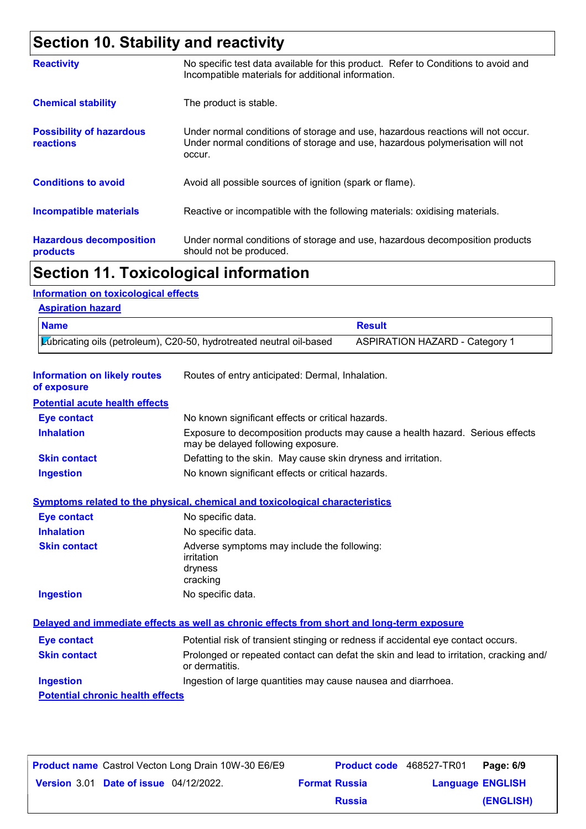# **Section 10. Stability and reactivity**

| <b>Reactivity</b>                            | No specific test data available for this product. Refer to Conditions to avoid and<br>Incompatible materials for additional information.                                   |
|----------------------------------------------|----------------------------------------------------------------------------------------------------------------------------------------------------------------------------|
| <b>Chemical stability</b>                    | The product is stable.                                                                                                                                                     |
| <b>Possibility of hazardous</b><br>reactions | Under normal conditions of storage and use, hazardous reactions will not occur.<br>Under normal conditions of storage and use, hazardous polymerisation will not<br>occur. |
| <b>Conditions to avoid</b>                   | Avoid all possible sources of ignition (spark or flame).                                                                                                                   |
| Incompatible materials                       | Reactive or incompatible with the following materials: oxidising materials.                                                                                                |
| <b>Hazardous decomposition</b><br>products   | Under normal conditions of storage and use, hazardous decomposition products<br>should not be produced.                                                                    |

### **Section 11. Toxicological information**

#### **Information on toxicological effects**

| <b>Name</b>                                        |                                                                                                                     | <b>Result</b>                                                                          |
|----------------------------------------------------|---------------------------------------------------------------------------------------------------------------------|----------------------------------------------------------------------------------------|
|                                                    | Lubricating oils (petroleum), C20-50, hydrotreated neutral oil-based                                                | <b>ASPIRATION HAZARD - Category 1</b>                                                  |
| <b>Information on likely routes</b><br>of exposure | Routes of entry anticipated: Dermal, Inhalation.                                                                    |                                                                                        |
| <b>Potential acute health effects</b>              |                                                                                                                     |                                                                                        |
| <b>Eye contact</b>                                 | No known significant effects or critical hazards.                                                                   |                                                                                        |
| <b>Inhalation</b>                                  | Exposure to decomposition products may cause a health hazard. Serious effects<br>may be delayed following exposure. |                                                                                        |
| <b>Skin contact</b>                                | Defatting to the skin. May cause skin dryness and irritation.                                                       |                                                                                        |
| <b>Ingestion</b>                                   | No known significant effects or critical hazards.                                                                   |                                                                                        |
|                                                    | <b>Symptoms related to the physical, chemical and toxicological characteristics</b>                                 |                                                                                        |
| <b>Eye contact</b>                                 | No specific data.                                                                                                   |                                                                                        |
| <b>Inhalation</b>                                  | No specific data.                                                                                                   |                                                                                        |
| <b>Skin contact</b>                                | Adverse symptoms may include the following:<br>irritation<br>dryness<br>cracking                                    |                                                                                        |
| <b>Ingestion</b>                                   | No specific data.                                                                                                   |                                                                                        |
|                                                    | Delayed and immediate effects as well as chronic effects from short and long-term exposure                          |                                                                                        |
| <b>Eye contact</b>                                 | Potential risk of transient stinging or redness if accidental eye contact occurs.                                   |                                                                                        |
| <b>Skin contact</b>                                | or dermatitis.                                                                                                      | Prolonged or repeated contact can defat the skin and lead to irritation, cracking and/ |
|                                                    |                                                                                                                     |                                                                                        |

| <b>Product name</b> Castrol Vecton Long Drain 10W-30 E6/E9 |                      | Product code 468527-TR01 Page: 6/9 |           |
|------------------------------------------------------------|----------------------|------------------------------------|-----------|
| <b>Version 3.01 Date of issue 04/12/2022.</b>              | <b>Format Russia</b> | <b>Language ENGLISH</b>            |           |
|                                                            | <b>Russia</b>        |                                    | (ENGLISH) |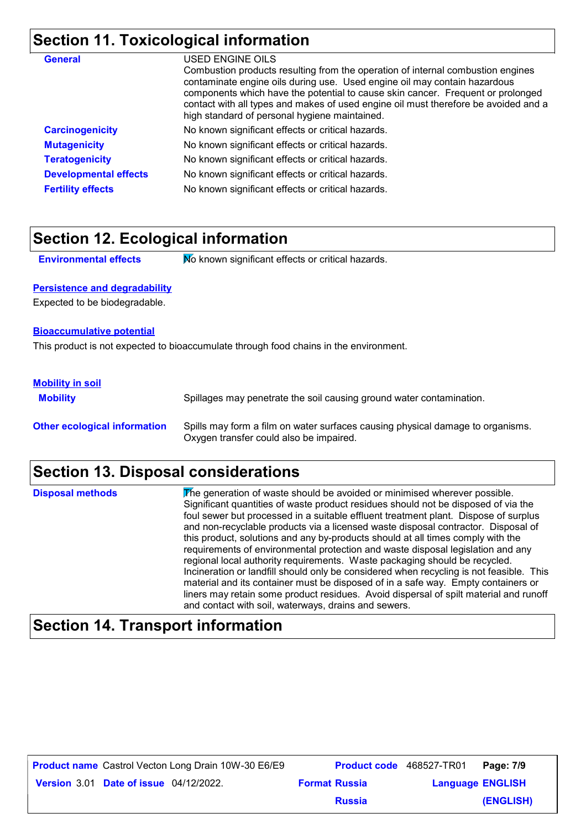### **Section 11. Toxicological information**

| <b>General</b>               | USED ENGINE OILS<br>Combustion products resulting from the operation of internal combustion engines<br>contaminate engine oils during use. Used engine oil may contain hazardous<br>components which have the potential to cause skin cancer. Frequent or prolonged<br>contact with all types and makes of used engine oil must therefore be avoided and a<br>high standard of personal hygiene maintained. |
|------------------------------|-------------------------------------------------------------------------------------------------------------------------------------------------------------------------------------------------------------------------------------------------------------------------------------------------------------------------------------------------------------------------------------------------------------|
| <b>Carcinogenicity</b>       | No known significant effects or critical hazards.                                                                                                                                                                                                                                                                                                                                                           |
| <b>Mutagenicity</b>          | No known significant effects or critical hazards.                                                                                                                                                                                                                                                                                                                                                           |
| <b>Teratogenicity</b>        | No known significant effects or critical hazards.                                                                                                                                                                                                                                                                                                                                                           |
| <b>Developmental effects</b> | No known significant effects or critical hazards.                                                                                                                                                                                                                                                                                                                                                           |
| <b>Fertility effects</b>     | No known significant effects or critical hazards.                                                                                                                                                                                                                                                                                                                                                           |

#### **Section 12. Ecological information**

**Environmental effects** Mo known significant effects or critical hazards.

#### **Persistence and degradability**

Expected to be biodegradable.

#### **Bioaccumulative potential**

This product is not expected to bioaccumulate through food chains in the environment.

#### **Mobility in soil**

| <b>Mobility</b>                     | Spillages may penetrate the soil causing ground water contamination.                                                      |
|-------------------------------------|---------------------------------------------------------------------------------------------------------------------------|
| <b>Other ecological information</b> | Spills may form a film on water surfaces causing physical damage to organisms.<br>Oxygen transfer could also be impaired. |

### **Section 13. Disposal considerations**

| <b>Disposal methods</b> | The generation of waste should be avoided or minimised wherever possible.<br>Significant quantities of waste product residues should not be disposed of via the<br>foul sewer but processed in a suitable effluent treatment plant. Dispose of surplus<br>and non-recyclable products via a licensed waste disposal contractor. Disposal of<br>this product, solutions and any by-products should at all times comply with the<br>requirements of environmental protection and waste disposal legislation and any<br>regional local authority requirements. Waste packaging should be recycled.<br>Incineration or landfill should only be considered when recycling is not feasible. This<br>material and its container must be disposed of in a safe way. Empty containers or |
|-------------------------|---------------------------------------------------------------------------------------------------------------------------------------------------------------------------------------------------------------------------------------------------------------------------------------------------------------------------------------------------------------------------------------------------------------------------------------------------------------------------------------------------------------------------------------------------------------------------------------------------------------------------------------------------------------------------------------------------------------------------------------------------------------------------------|
|                         | liners may retain some product residues. Avoid dispersal of spilt material and runoff<br>and contact with soil, waterways, drains and sewers.                                                                                                                                                                                                                                                                                                                                                                                                                                                                                                                                                                                                                                   |

### **Section 14. Transport information**

| <b>Product name</b> Castrol Vecton Long Drain 10W-30 E6/E9 | <b>Product code</b> 468527-TR01 |                         | Page: 7/9 |
|------------------------------------------------------------|---------------------------------|-------------------------|-----------|
| <b>Version 3.01 Date of issue 04/12/2022.</b>              | <b>Format Russia</b>            | <b>Language ENGLISH</b> |           |
|                                                            | <b>Russia</b>                   |                         | (ENGLISH) |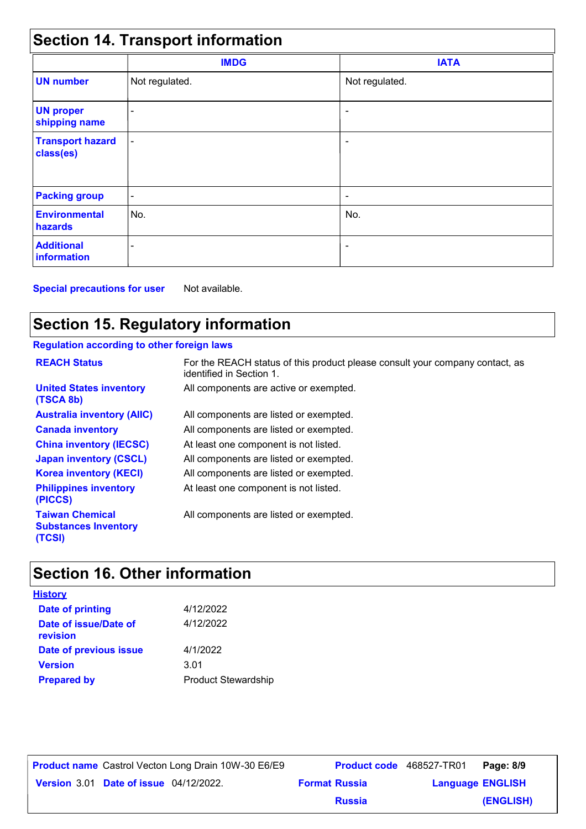|                                      | <b>Section 14. Transport information</b> |                |  |  |  |
|--------------------------------------|------------------------------------------|----------------|--|--|--|
|                                      | <b>IMDG</b>                              | <b>IATA</b>    |  |  |  |
| <b>UN number</b>                     | Not regulated.                           | Not regulated. |  |  |  |
| <b>UN proper</b><br>shipping name    |                                          |                |  |  |  |
| <b>Transport hazard</b><br>class(es) | $\blacksquare$                           |                |  |  |  |
| <b>Packing group</b>                 | $\blacksquare$                           | ۰              |  |  |  |
| <b>Environmental</b><br>hazards      | No.                                      | No.            |  |  |  |
| <b>Additional</b><br>information     |                                          |                |  |  |  |

**Special precautions for user** Not available.

## **Section 15. Regulatory information**

#### **Regulation according to other foreign laws**

| <b>REACH Status</b>                                             | For the REACH status of this product please consult your company contact, as<br>identified in Section 1. |
|-----------------------------------------------------------------|----------------------------------------------------------------------------------------------------------|
| <b>United States inventory</b><br>(TSCA 8b)                     | All components are active or exempted.                                                                   |
| <b>Australia inventory (AIIC)</b>                               | All components are listed or exempted.                                                                   |
| <b>Canada inventory</b>                                         | All components are listed or exempted.                                                                   |
| <b>China inventory (IECSC)</b>                                  | At least one component is not listed.                                                                    |
| <b>Japan inventory (CSCL)</b>                                   | All components are listed or exempted.                                                                   |
| <b>Korea inventory (KECI)</b>                                   | All components are listed or exempted.                                                                   |
| <b>Philippines inventory</b><br>(PICCS)                         | At least one component is not listed.                                                                    |
| <b>Taiwan Chemical</b><br><b>Substances Inventory</b><br>(TCSI) | All components are listed or exempted.                                                                   |

### **Section 16. Other information**

#### **History**

| <b>Date of printing</b>           | 4/12/2022                  |
|-----------------------------------|----------------------------|
| Date of issue/Date of<br>revision | 4/12/2022                  |
| Date of previous issue            | 4/1/2022                   |
| <b>Version</b>                    | 3.01                       |
| <b>Prepared by</b>                | <b>Product Stewardship</b> |

**Date of issue** 04/12/2022. **Version** 3.01 **Format Russia Language Product name** Castrol Vecton Long Drain 10W-30 E6/E9 **Product code** 468527-TR01 **Page: 8/9** | **Language ENGLISH (ENGLISH)** Product code 468527-TR01 Page: 8/9 **Russia**